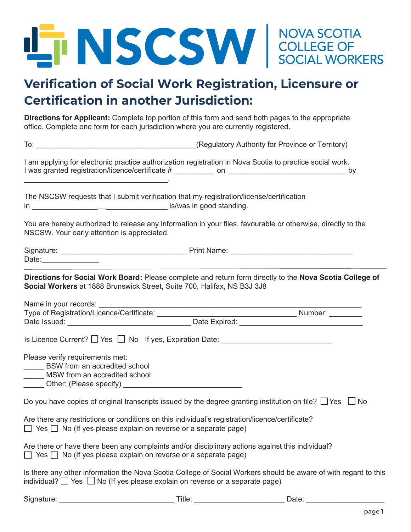

## **Verification of Social Work Registration, Licensure or Certification in another Jurisdiction:**

**Directions for Applicant:** Complete top portion of this form and send both pages to the appropriate office. Complete one form for each jurisdiction where you are currently registered.

|                                                                                                                                                                                |        | To: Change of Territory (Regulatory Authority for Province or Territory)                                           |
|--------------------------------------------------------------------------------------------------------------------------------------------------------------------------------|--------|--------------------------------------------------------------------------------------------------------------------|
|                                                                                                                                                                                |        | I am applying for electronic practice authorization registration in Nova Scotia to practice social work.           |
| The NSCSW requests that I submit verification that my registration/license/certification                                                                                       |        |                                                                                                                    |
| NSCSW. Your early attention is appreciated.                                                                                                                                    |        | You are hereby authorized to release any information in your files, favourable or otherwise, directly to the       |
|                                                                                                                                                                                |        |                                                                                                                    |
| Social Workers at 1888 Brunswick Street, Suite 700, Halifax, NS B3J 3J8                                                                                                        |        | Directions for Social Work Board: Please complete and return form directly to the Nova Scotia College of           |
|                                                                                                                                                                                |        |                                                                                                                    |
|                                                                                                                                                                                |        |                                                                                                                    |
|                                                                                                                                                                                |        |                                                                                                                    |
| Please verify requirements met:<br>BSW from an accredited school<br>MSW from an accredited school<br>______ Other: (Please specify) ___________________________________        |        |                                                                                                                    |
|                                                                                                                                                                                |        | Do you have copies of original transcripts issued by the degree granting institution on file? $\Box$ Yes $\Box$ No |
| Are there any restrictions or conditions on this individual's registration/licence/certificate?<br>$\Box$ Yes $\Box$ No (If yes please explain on reverse or a separate page)  |        |                                                                                                                    |
| Are there or have there been any complaints and/or disciplinary actions against this individual?<br>$\Box$ Yes $\Box$ No (If yes please explain on reverse or a separate page) |        |                                                                                                                    |
| individual? $\Box$ Yes $\Box$ No (If yes please explain on reverse or a separate page)                                                                                         |        | Is there any other information the Nova Scotia College of Social Workers should be aware of with regard to this    |
| Signature:                                                                                                                                                                     | Title: | Date:                                                                                                              |